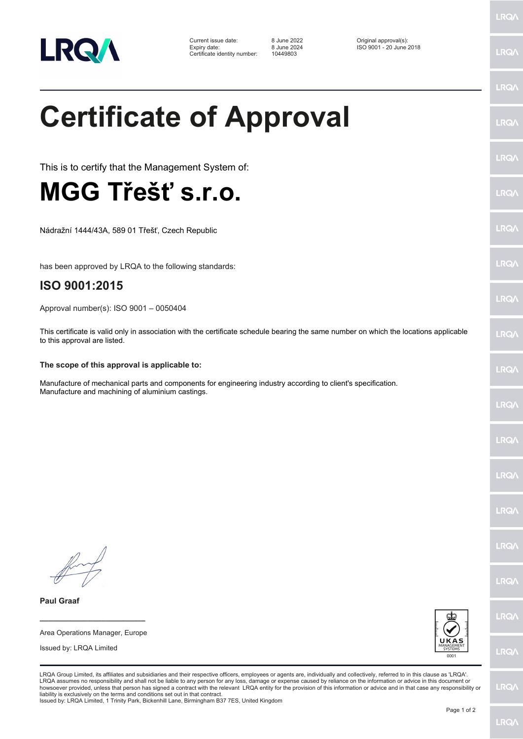

## **Certificate of Approval**

This is to certify that the Management System of:

## **MGG Třešť s.r.o.**

Nádražní 1444/43A, 589 01 Třešť, Czech Republic

has been approved by LRQA to the following standards:

## **ISO 9001:2015**

Approval number(s): ISO 9001 – 0050404

This certificate is valid only in association with the certificate schedule bearing the same number on which the locations applicable to this approval are listed.

## **The scope of this approval is applicable to:**

Manufacture of mechanical parts and components for engineering industry according to client's specification. Manufacture and machining of aluminium castings.

Issued by: LRQA Limited

**\_\_\_\_\_\_\_\_\_\_\_\_\_\_\_\_\_\_\_\_\_\_\_\_** Area Operations Manager, Europe

**Paul Graaf**



LRQA Group Limited, its affiliates and subsidiaries and their respective officers, employees or agents are, individually and collectively, referred to in this clause as 'LRQA'. LRQA assumes no responsibility and shall not be liable to any person for any loss, damage or expense caused by reliance on the information or advice in this document or<br>howsoever provided, unless that person has signed a c liability is exclusively on the terms and conditions set out in that contract.

Issued by: LRQA Limited, 1 Trinity Park, Bickenhill Lane, Birmingham B37 7ES, United Kingdom

LRQ/

LRQ/

LRQ/

LRQ/

**LRQ/** 

LRQ/

LRQ/

**LRQA** 

**LRO** 

LRQ/

LRQ/

LRQ/

LRQ/

LRQ/

**IRQA** 

LRQ/

LRQ/

LRQ/

LRQ/